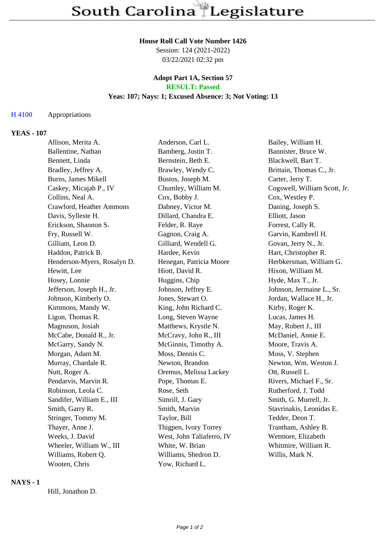### **House Roll Call Vote Number 1426**

Session: 124 (2021-2022) 03/22/2021 02:32 pm

#### **Adopt Part 1A, Section 57 RESULT: Passed**

# **Yeas: 107; Nays: 1; Excused Absence: 3; Not Voting: 13**

#### H 4100 Appropriations

## **YEAS - 107**

| Allison, Merita A.          | Anderson, Carl L.         | Bailey, William H.           |
|-----------------------------|---------------------------|------------------------------|
| Ballentine, Nathan          | Bamberg, Justin T.        | Bannister, Bruce W.          |
| Bennett, Linda              | Bernstein, Beth E.        | Blackwell, Bart T.           |
| Bradley, Jeffrey A.         | Brawley, Wendy C.         | Brittain, Thomas C., Jr.     |
| Burns, James Mikell         | Bustos, Joseph M.         | Carter, Jerry T.             |
| Caskey, Micajah P., IV      | Chumley, William M.       | Cogswell, William Scott, Jr. |
| Collins, Neal A.            | Cox, Bobby J.             | Cox, Westley P.              |
| Crawford, Heather Ammons    | Dabney, Victor M.         | Daning, Joseph S.            |
| Davis, Sylleste H.          | Dillard, Chandra E.       | Elliott, Jason               |
| Erickson, Shannon S.        | Felder, R. Raye           | Forrest, Cally R.            |
| Fry, Russell W.             | Gagnon, Craig A.          | Garvin, Kambrell H.          |
| Gilliam, Leon D.            | Gilliard, Wendell G.      | Govan, Jerry N., Jr.         |
| Haddon, Patrick B.          | Hardee, Kevin             | Hart, Christopher R.         |
| Henderson-Myers, Rosalyn D. | Henegan, Patricia Moore   | Herbkersman, William G.      |
| Hewitt, Lee                 | Hiott, David R.           | Hixon, William M.            |
| Hosey, Lonnie               | Huggins, Chip             | Hyde, Max T., Jr.            |
| Jefferson, Joseph H., Jr.   | Johnson, Jeffrey E.       | Johnson, Jermaine L., Sr.    |
| Johnson, Kimberly O.        | Jones, Stewart O.         | Jordan, Wallace H., Jr.      |
| Kimmons, Mandy W.           | King, John Richard C.     | Kirby, Roger K.              |
| Ligon, Thomas R.            | Long, Steven Wayne        | Lucas, James H.              |
| Magnuson, Josiah            | Matthews, Krystle N.      | May, Robert J., III          |
| McCabe, Donald R., Jr.      | McCravy, John R., III     | McDaniel, Annie E.           |
| McGarry, Sandy N.           | McGinnis, Timothy A.      | Moore, Travis A.             |
| Morgan, Adam M.             | Moss, Dennis C.           | Moss, V. Stephen             |
| Murray, Chardale R.         | Newton, Brandon           | Newton, Wm. Weston J.        |
| Nutt, Roger A.              | Oremus, Melissa Lackey    | Ott, Russell L.              |
| Pendarvis, Marvin R.        | Pope, Thomas E.           | Rivers, Michael F., Sr.      |
| Robinson, Leola C.          | Rose, Seth                | Rutherford, J. Todd          |
| Sandifer, William E., III   | Simrill, J. Gary          | Smith, G. Murrell, Jr.       |
| Smith, Garry R.             | Smith, Marvin             | Stavrinakis, Leonidas E.     |
| Stringer, Tommy M.          | Taylor, Bill              | Tedder, Deon T.              |
| Thayer, Anne J.             | Thigpen, Ivory Torrey     | Trantham, Ashley B.          |
| Weeks, J. David             | West, John Taliaferro, IV | Wetmore, Elizabeth           |
| Wheeler, William W., III    | White, W. Brian           | Whitmire, William R.         |
| Williams, Robert Q.         | Williams, Shedron D.      | Willis, Mark N.              |
| Wooten, Chris               | Yow, Richard L.           |                              |

## **NAYS - 1**

Hill, Jonathon D.